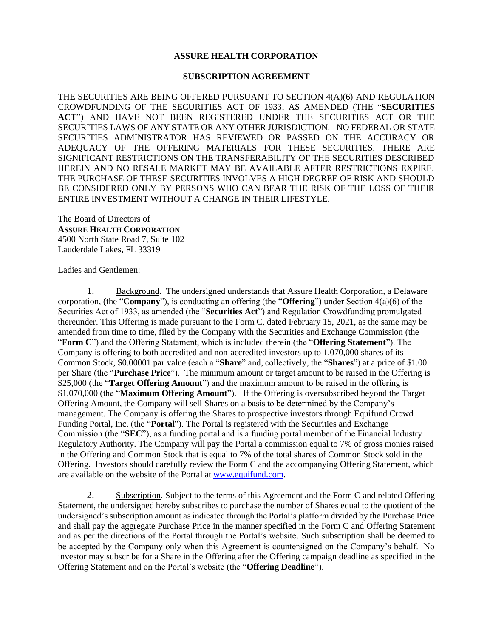## **ASSURE HEALTH CORPORATION**

## **SUBSCRIPTION AGREEMENT**

THE SECURITIES ARE BEING OFFERED PURSUANT TO SECTION 4(A)(6) AND REGULATION CROWDFUNDING OF THE SECURITIES ACT OF 1933, AS AMENDED (THE "**SECURITIES ACT**") AND HAVE NOT BEEN REGISTERED UNDER THE SECURITIES ACT OR THE SECURITIES LAWS OF ANY STATE OR ANY OTHER JURISDICTION. NO FEDERAL OR STATE SECURITIES ADMINISTRATOR HAS REVIEWED OR PASSED ON THE ACCURACY OR ADEQUACY OF THE OFFERING MATERIALS FOR THESE SECURITIES. THERE ARE SIGNIFICANT RESTRICTIONS ON THE TRANSFERABILITY OF THE SECURITIES DESCRIBED HEREIN AND NO RESALE MARKET MAY BE AVAILABLE AFTER RESTRICTIONS EXPIRE. THE PURCHASE OF THESE SECURITIES INVOLVES A HIGH DEGREE OF RISK AND SHOULD BE CONSIDERED ONLY BY PERSONS WHO CAN BEAR THE RISK OF THE LOSS OF THEIR ENTIRE INVESTMENT WITHOUT A CHANGE IN THEIR LIFESTYLE.

The Board of Directors of **ASSURE HEALTH CORPORATION** 4500 North State Road 7, Suite 102 Lauderdale Lakes, FL 33319

Ladies and Gentlemen:

1. Background. The undersigned understands that Assure Health Corporation, a Delaware corporation, (the "**Company**"), is conducting an offering (the "**Offering**") under Section 4(a)(6) of the Securities Act of 1933, as amended (the "**Securities Act**") and Regulation Crowdfunding promulgated thereunder. This Offering is made pursuant to the Form C, dated February 15, 2021, as the same may be amended from time to time, filed by the Company with the Securities and Exchange Commission (the "**Form C**") and the Offering Statement, which is included therein (the "**Offering Statement**"). The Company is offering to both accredited and non-accredited investors up to 1,070,000 shares of its Common Stock, \$0.00001 par value (each a "**Share**" and, collectively, the "**Shares**") at a price of \$1.00 per Share (the "**Purchase Price**"). The minimum amount or target amount to be raised in the Offering is \$25,000 (the "**Target Offering Amount**") and the maximum amount to be raised in the offering is \$1,070,000 (the "**Maximum Offering Amount**"). If the Offering is oversubscribed beyond the Target Offering Amount, the Company will sell Shares on a basis to be determined by the Company's management. The Company is offering the Shares to prospective investors through Equifund Crowd Funding Portal, Inc. (the "**Portal**"). The Portal is registered with the Securities and Exchange Commission (the "**SEC**"), as a funding portal and is a funding portal member of the Financial Industry Regulatory Authority. The Company will pay the Portal a commission equal to 7% of gross monies raised in the Offering and Common Stock that is equal to 7% of the total shares of Common Stock sold in the Offering. Investors should carefully review the Form C and the accompanying Offering Statement, which are available on the website of the Portal at [www.equifund.com.](http://www.equifund.com/)

2. Subscription. Subject to the terms of this Agreement and the Form C and related Offering Statement, the undersigned hereby subscribes to purchase the number of Shares equal to the quotient of the undersigned's subscription amount as indicated through the Portal's platform divided by the Purchase Price and shall pay the aggregate Purchase Price in the manner specified in the Form C and Offering Statement and as per the directions of the Portal through the Portal's website. Such subscription shall be deemed to be accepted by the Company only when this Agreement is countersigned on the Company's behalf. No investor may subscribe for a Share in the Offering after the Offering campaign deadline as specified in the Offering Statement and on the Portal's website (the "**Offering Deadline**").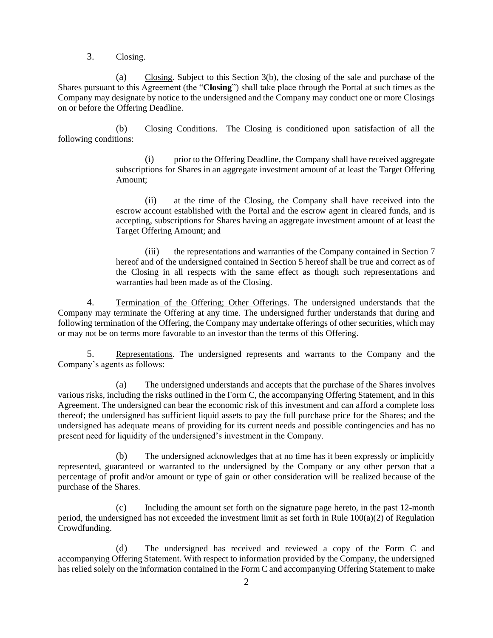3. Closing.

(a) Closing. Subject to this Section 3(b), the closing of the sale and purchase of the Shares pursuant to this Agreement (the "**Closing**") shall take place through the Portal at such times as the Company may designate by notice to the undersigned and the Company may conduct one or more Closings on or before the Offering Deadline.

(b) Closing Conditions. The Closing is conditioned upon satisfaction of all the following conditions:

> (i) prior to the Offering Deadline, the Company shall have received aggregate subscriptions for Shares in an aggregate investment amount of at least the Target Offering Amount;

> (ii) at the time of the Closing, the Company shall have received into the escrow account established with the Portal and the escrow agent in cleared funds, and is accepting, subscriptions for Shares having an aggregate investment amount of at least the Target Offering Amount; and

> (iii) the representations and warranties of the Company contained in Section 7 hereof and of the undersigned contained in Section 5 hereof shall be true and correct as of the Closing in all respects with the same effect as though such representations and warranties had been made as of the Closing.

4. Termination of the Offering; Other Offerings. The undersigned understands that the Company may terminate the Offering at any time. The undersigned further understands that during and following termination of the Offering, the Company may undertake offerings of other securities, which may or may not be on terms more favorable to an investor than the terms of this Offering.

5. Representations. The undersigned represents and warrants to the Company and the Company's agents as follows:

(a) The undersigned understands and accepts that the purchase of the Shares involves various risks, including the risks outlined in the Form C, the accompanying Offering Statement, and in this Agreement. The undersigned can bear the economic risk of this investment and can afford a complete loss thereof; the undersigned has sufficient liquid assets to pay the full purchase price for the Shares; and the undersigned has adequate means of providing for its current needs and possible contingencies and has no present need for liquidity of the undersigned's investment in the Company.

(b) The undersigned acknowledges that at no time has it been expressly or implicitly represented, guaranteed or warranted to the undersigned by the Company or any other person that a percentage of profit and/or amount or type of gain or other consideration will be realized because of the purchase of the Shares.

(c) Including the amount set forth on the signature page hereto, in the past 12-month period, the undersigned has not exceeded the investment limit as set forth in Rule 100(a)(2) of Regulation Crowdfunding.

(d) The undersigned has received and reviewed a copy of the Form C and accompanying Offering Statement. With respect to information provided by the Company, the undersigned has relied solely on the information contained in the Form C and accompanying Offering Statement to make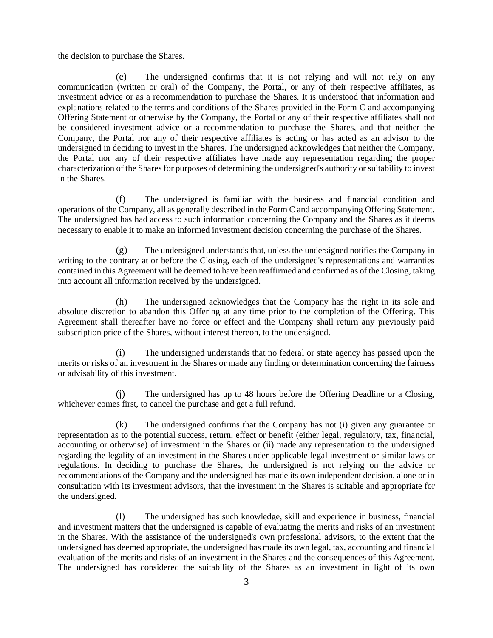the decision to purchase the Shares.

(e) The undersigned confirms that it is not relying and will not rely on any communication (written or oral) of the Company, the Portal, or any of their respective affiliates, as investment advice or as a recommendation to purchase the Shares. It is understood that information and explanations related to the terms and conditions of the Shares provided in the Form C and accompanying Offering Statement or otherwise by the Company, the Portal or any of their respective affiliates shall not be considered investment advice or a recommendation to purchase the Shares, and that neither the Company, the Portal nor any of their respective affiliates is acting or has acted as an advisor to the undersigned in deciding to invest in the Shares. The undersigned acknowledges that neither the Company, the Portal nor any of their respective affiliates have made any representation regarding the proper characterization of the Shares for purposes of determining the undersigned's authority or suitability to invest in the Shares.

(f) The undersigned is familiar with the business and financial condition and operations of the Company, all as generally described in the Form C and accompanying Offering Statement. The undersigned has had access to such information concerning the Company and the Shares as it deems necessary to enable it to make an informed investment decision concerning the purchase of the Shares.

(g) The undersigned understands that, unless the undersigned notifies the Company in writing to the contrary at or before the Closing, each of the undersigned's representations and warranties contained in this Agreement will be deemed to have been reaffirmed and confirmed as of the Closing, taking into account all information received by the undersigned.

(h) The undersigned acknowledges that the Company has the right in its sole and absolute discretion to abandon this Offering at any time prior to the completion of the Offering. This Agreement shall thereafter have no force or effect and the Company shall return any previously paid subscription price of the Shares, without interest thereon, to the undersigned.

(i) The undersigned understands that no federal or state agency has passed upon the merits or risks of an investment in the Shares or made any finding or determination concerning the fairness or advisability of this investment.

(j) The undersigned has up to 48 hours before the Offering Deadline or a Closing, whichever comes first, to cancel the purchase and get a full refund.

(k) The undersigned confirms that the Company has not (i) given any guarantee or representation as to the potential success, return, effect or benefit (either legal, regulatory, tax, financial, accounting or otherwise) of investment in the Shares or (ii) made any representation to the undersigned regarding the legality of an investment in the Shares under applicable legal investment or similar laws or regulations. In deciding to purchase the Shares, the undersigned is not relying on the advice or recommendations of the Company and the undersigned has made its own independent decision, alone or in consultation with its investment advisors, that the investment in the Shares is suitable and appropriate for the undersigned.

(l) The undersigned has such knowledge, skill and experience in business, financial and investment matters that the undersigned is capable of evaluating the merits and risks of an investment in the Shares. With the assistance of the undersigned's own professional advisors, to the extent that the undersigned has deemed appropriate, the undersigned has made its own legal, tax, accounting and financial evaluation of the merits and risks of an investment in the Shares and the consequences of this Agreement. The undersigned has considered the suitability of the Shares as an investment in light of its own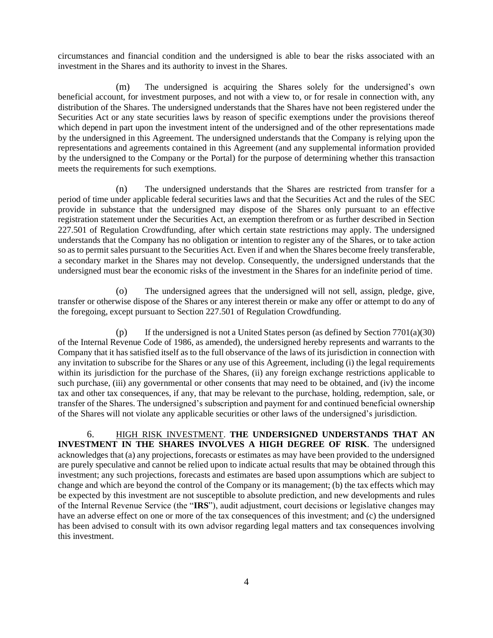circumstances and financial condition and the undersigned is able to bear the risks associated with an investment in the Shares and its authority to invest in the Shares.

(m) The undersigned is acquiring the Shares solely for the undersigned's own beneficial account, for investment purposes, and not with a view to, or for resale in connection with, any distribution of the Shares. The undersigned understands that the Shares have not been registered under the Securities Act or any state securities laws by reason of specific exemptions under the provisions thereof which depend in part upon the investment intent of the undersigned and of the other representations made by the undersigned in this Agreement. The undersigned understands that the Company is relying upon the representations and agreements contained in this Agreement (and any supplemental information provided by the undersigned to the Company or the Portal) for the purpose of determining whether this transaction meets the requirements for such exemptions.

(n) The undersigned understands that the Shares are restricted from transfer for a period of time under applicable federal securities laws and that the Securities Act and the rules of the SEC provide in substance that the undersigned may dispose of the Shares only pursuant to an effective registration statement under the Securities Act, an exemption therefrom or as further described in Section 227.501 of Regulation Crowdfunding, after which certain state restrictions may apply. The undersigned understands that the Company has no obligation or intention to register any of the Shares, or to take action so as to permit sales pursuant to the Securities Act. Even if and when the Shares become freely transferable, a secondary market in the Shares may not develop. Consequently, the undersigned understands that the undersigned must bear the economic risks of the investment in the Shares for an indefinite period of time.

(o) The undersigned agrees that the undersigned will not sell, assign, pledge, give, transfer or otherwise dispose of the Shares or any interest therein or make any offer or attempt to do any of the foregoing, except pursuant to Section 227.501 of Regulation Crowdfunding.

(p) If the undersigned is not a United States person (as defined by Section 7701(a)(30) of the Internal Revenue Code of 1986, as amended), the undersigned hereby represents and warrants to the Company that it has satisfied itself as to the full observance of the laws of its jurisdiction in connection with any invitation to subscribe for the Shares or any use of this Agreement, including (i) the legal requirements within its jurisdiction for the purchase of the Shares, (ii) any foreign exchange restrictions applicable to such purchase, (iii) any governmental or other consents that may need to be obtained, and (iv) the income tax and other tax consequences, if any, that may be relevant to the purchase, holding, redemption, sale, or transfer of the Shares. The undersigned's subscription and payment for and continued beneficial ownership of the Shares will not violate any applicable securities or other laws of the undersigned's jurisdiction.

6. HIGH RISK INVESTMENT. **THE UNDERSIGNED UNDERSTANDS THAT AN INVESTMENT IN THE SHARES INVOLVES A HIGH DEGREE OF RISK**. The undersigned acknowledges that (a) any projections, forecasts or estimates as may have been provided to the undersigned are purely speculative and cannot be relied upon to indicate actual results that may be obtained through this investment; any such projections, forecasts and estimates are based upon assumptions which are subject to change and which are beyond the control of the Company or its management; (b) the tax effects which may be expected by this investment are not susceptible to absolute prediction, and new developments and rules of the Internal Revenue Service (the "**IRS**"), audit adjustment, court decisions or legislative changes may have an adverse effect on one or more of the tax consequences of this investment; and (c) the undersigned has been advised to consult with its own advisor regarding legal matters and tax consequences involving this investment.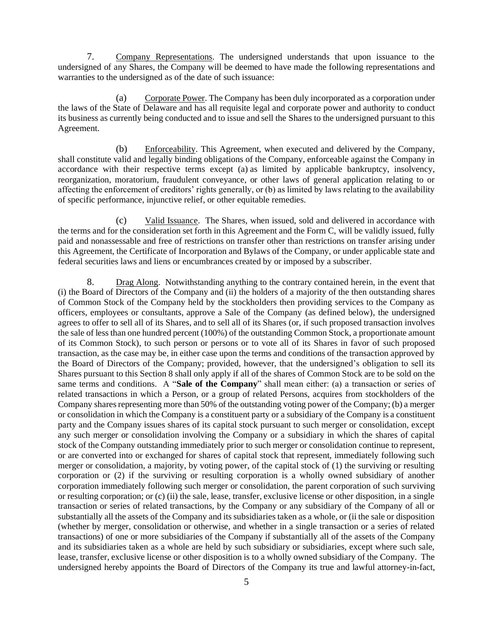7. Company Representations. The undersigned understands that upon issuance to the undersigned of any Shares, the Company will be deemed to have made the following representations and warranties to the undersigned as of the date of such issuance:

(a) Corporate Power. The Company has been duly incorporated as a corporation under the laws of the State of Delaware and has all requisite legal and corporate power and authority to conduct its business as currently being conducted and to issue and sell the Shares to the undersigned pursuant to this Agreement.

(b) Enforceability. This Agreement, when executed and delivered by the Company, shall constitute valid and legally binding obligations of the Company, enforceable against the Company in accordance with their respective terms except (a) as limited by applicable bankruptcy, insolvency, reorganization, moratorium, fraudulent conveyance, or other laws of general application relating to or affecting the enforcement of creditors' rights generally, or (b) as limited by laws relating to the availability of specific performance, injunctive relief, or other equitable remedies.

(c) Valid Issuance. The Shares, when issued, sold and delivered in accordance with the terms and for the consideration set forth in this Agreement and the Form C, will be validly issued, fully paid and nonassessable and free of restrictions on transfer other than restrictions on transfer arising under this Agreement, the Certificate of Incorporation and Bylaws of the Company, or under applicable state and federal securities laws and liens or encumbrances created by or imposed by a subscriber.

<span id="page-4-0"></span>8. Drag Along. Notwithstanding anything to the contrary contained herein, in the event that (i) the Board of Directors of the Company and (ii) the holders of a majority of the then outstanding shares of Common Stock of the Company held by the stockholders then providing services to the Company as officers, employees or consultants, approve a Sale of the Company (as defined below), the undersigned agrees to offer to sell all of its Shares, and to sell all of its Shares (or, if such proposed transaction involves the sale of less than one hundred percent (100%) of the outstanding Common Stock, a proportionate amount of its Common Stock), to such person or persons or to vote all of its Shares in favor of such proposed transaction, as the case may be, in either case upon the terms and conditions of the transaction approved by the Board of Directors of the Company; provided, however, that the undersigned's obligation to sell its Shares pursuant to this Section [8](#page-4-0) shall only apply if all of the shares of Common Stock are to be sold on the same terms and conditions. A "**Sale of the Company**" shall mean either: (a) a transaction or series of related transactions in which a Person, or a group of related Persons, acquires from stockholders of the Company shares representing more than 50% of the outstanding voting power of the Company; (b) a merger or consolidation in which the Company is a constituent party or a subsidiary of the Company is a constituent party and the Company issues shares of its capital stock pursuant to such merger or consolidation, except any such merger or consolidation involving the Company or a subsidiary in which the shares of capital stock of the Company outstanding immediately prior to such merger or consolidation continue to represent, or are converted into or exchanged for shares of capital stock that represent, immediately following such merger or consolidation, a majority, by voting power, of the capital stock of (1) the surviving or resulting corporation or (2) if the surviving or resulting corporation is a wholly owned subsidiary of another corporation immediately following such merger or consolidation, the parent corporation of such surviving or resulting corporation; or (c) (ii) the sale, lease, transfer, exclusive license or other disposition, in a single transaction or series of related transactions, by the Company or any subsidiary of the Company of all or substantially all the assets of the Company and its subsidiaries taken as a whole, or (ii the sale or disposition (whether by merger, consolidation or otherwise, and whether in a single transaction or a series of related transactions) of one or more subsidiaries of the Company if substantially all of the assets of the Company and its subsidiaries taken as a whole are held by such subsidiary or subsidiaries, except where such sale, lease, transfer, exclusive license or other disposition is to a wholly owned subsidiary of the Company. The undersigned hereby appoints the Board of Directors of the Company its true and lawful attorney-in-fact,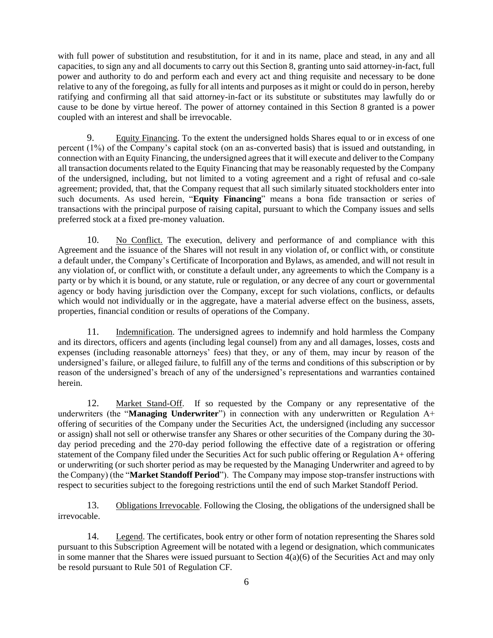with full power of substitution and resubstitution, for it and in its name, place and stead, in any and all capacities, to sign any and all documents to carry out this Section [8,](#page-4-0) granting unto said attorney-in-fact, full power and authority to do and perform each and every act and thing requisite and necessary to be done relative to any of the foregoing, as fully for all intents and purposes as it might or could do in person, hereby ratifying and confirming all that said attorney-in-fact or its substitute or substitutes may lawfully do or cause to be done by virtue hereof. The power of attorney contained in this Section 8 granted is a power coupled with an interest and shall be irrevocable.

9. Equity Financing. To the extent the undersigned holds Shares equal to or in excess of one percent (1%) of the Company's capital stock (on an as-converted basis) that is issued and outstanding, in connection with an Equity Financing, the undersigned agrees that it will execute and deliver to the Company all transaction documents related to the Equity Financing that may be reasonably requested by the Company of the undersigned, including, but not limited to a voting agreement and a right of refusal and co-sale agreement; provided, that, that the Company request that all such similarly situated stockholders enter into such documents. As used herein, "**Equity Financing**" means a bona fide transaction or series of transactions with the principal purpose of raising capital, pursuant to which the Company issues and sells preferred stock at a fixed pre-money valuation.

10. No Conflict. The execution, delivery and performance of and compliance with this Agreement and the issuance of the Shares will not result in any violation of, or conflict with, or constitute a default under, the Company's Certificate of Incorporation and Bylaws, as amended, and will not result in any violation of, or conflict with, or constitute a default under, any agreements to which the Company is a party or by which it is bound, or any statute, rule or regulation, or any decree of any court or governmental agency or body having jurisdiction over the Company, except for such violations, conflicts, or defaults which would not individually or in the aggregate, have a material adverse effect on the business, assets, properties, financial condition or results of operations of the Company.

11. Indemnification. The undersigned agrees to indemnify and hold harmless the Company and its directors, officers and agents (including legal counsel) from any and all damages, losses, costs and expenses (including reasonable attorneys' fees) that they, or any of them, may incur by reason of the undersigned's failure, or alleged failure, to fulfill any of the terms and conditions of this subscription or by reason of the undersigned's breach of any of the undersigned's representations and warranties contained herein.

12. Market Stand-Off. If so requested by the Company or any representative of the underwriters (the "**Managing Underwriter**") in connection with any underwritten or Regulation A+ offering of securities of the Company under the Securities Act, the undersigned (including any successor or assign) shall not sell or otherwise transfer any Shares or other securities of the Company during the 30 day period preceding and the 270-day period following the effective date of a registration or offering statement of the Company filed under the Securities Act for such public offering or Regulation A+ offering or underwriting (or such shorter period as may be requested by the Managing Underwriter and agreed to by the Company) (the "**Market Standoff Period**"). The Company may impose stop-transfer instructions with respect to securities subject to the foregoing restrictions until the end of such Market Standoff Period.

13. Obligations Irrevocable. Following the Closing, the obligations of the undersigned shall be irrevocable.

14. Legend. The certificates, book entry or other form of notation representing the Shares sold pursuant to this Subscription Agreement will be notated with a legend or designation, which communicates in some manner that the Shares were issued pursuant to Section  $4(a)(6)$  of the Securities Act and may only be resold pursuant to Rule 501 of Regulation CF.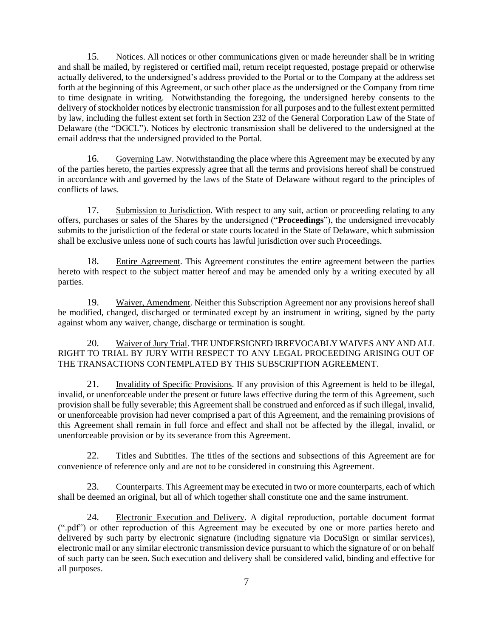15. Notices. All notices or other communications given or made hereunder shall be in writing and shall be mailed, by registered or certified mail, return receipt requested, postage prepaid or otherwise actually delivered, to the undersigned's address provided to the Portal or to the Company at the address set forth at the beginning of this Agreement, or such other place as the undersigned or the Company from time to time designate in writing. Notwithstanding the foregoing, the undersigned hereby consents to the delivery of stockholder notices by electronic transmission for all purposes and to the fullest extent permitted by law, including the fullest extent set forth in Section 232 of the General Corporation Law of the State of Delaware (the "DGCL"). Notices by electronic transmission shall be delivered to the undersigned at the email address that the undersigned provided to the Portal.

16. Governing Law. Notwithstanding the place where this Agreement may be executed by any of the parties hereto, the parties expressly agree that all the terms and provisions hereof shall be construed in accordance with and governed by the laws of the State of Delaware without regard to the principles of conflicts of laws.

17. Submission to Jurisdiction. With respect to any suit, action or proceeding relating to any offers, purchases or sales of the Shares by the undersigned ("**Proceedings**"), the undersigned irrevocably submits to the jurisdiction of the federal or state courts located in the State of Delaware, which submission shall be exclusive unless none of such courts has lawful jurisdiction over such Proceedings.

18. Entire Agreement. This Agreement constitutes the entire agreement between the parties hereto with respect to the subject matter hereof and may be amended only by a writing executed by all parties.

19. Waiver, Amendment. Neither this Subscription Agreement nor any provisions hereof shall be modified, changed, discharged or terminated except by an instrument in writing, signed by the party against whom any waiver, change, discharge or termination is sought.

20. Waiver of Jury Trial. THE UNDERSIGNED IRREVOCABLY WAIVES ANY AND ALL RIGHT TO TRIAL BY JURY WITH RESPECT TO ANY LEGAL PROCEEDING ARISING OUT OF THE TRANSACTIONS CONTEMPLATED BY THIS SUBSCRIPTION AGREEMENT.

21. Invalidity of Specific Provisions. If any provision of this Agreement is held to be illegal, invalid, or unenforceable under the present or future laws effective during the term of this Agreement, such provision shall be fully severable; this Agreement shall be construed and enforced as if such illegal, invalid, or unenforceable provision had never comprised a part of this Agreement, and the remaining provisions of this Agreement shall remain in full force and effect and shall not be affected by the illegal, invalid, or unenforceable provision or by its severance from this Agreement.

22. Titles and Subtitles. The titles of the sections and subsections of this Agreement are for convenience of reference only and are not to be considered in construing this Agreement.

23. Counterparts. This Agreement may be executed in two or more counterparts, each of which shall be deemed an original, but all of which together shall constitute one and the same instrument.

24. Electronic Execution and Delivery. A digital reproduction, portable document format (".pdf") or other reproduction of this Agreement may be executed by one or more parties hereto and delivered by such party by electronic signature (including signature via DocuSign or similar services), electronic mail or any similar electronic transmission device pursuant to which the signature of or on behalf of such party can be seen. Such execution and delivery shall be considered valid, binding and effective for all purposes.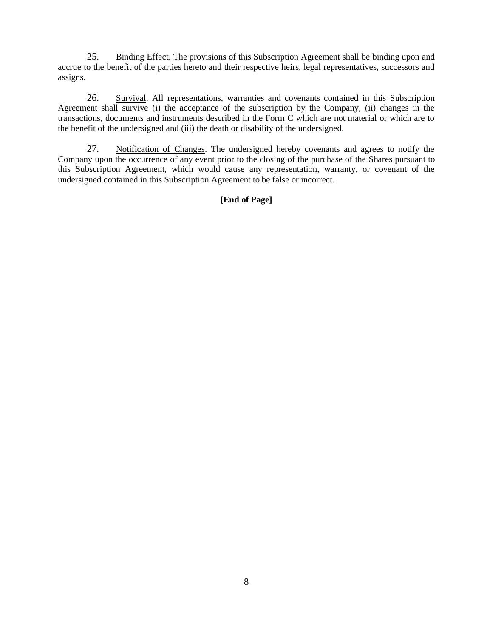25. Binding Effect. The provisions of this Subscription Agreement shall be binding upon and accrue to the benefit of the parties hereto and their respective heirs, legal representatives, successors and assigns.

26. Survival. All representations, warranties and covenants contained in this Subscription Agreement shall survive (i) the acceptance of the subscription by the Company, (ii) changes in the transactions, documents and instruments described in the Form C which are not material or which are to the benefit of the undersigned and (iii) the death or disability of the undersigned.

27. Notification of Changes. The undersigned hereby covenants and agrees to notify the Company upon the occurrence of any event prior to the closing of the purchase of the Shares pursuant to this Subscription Agreement, which would cause any representation, warranty, or covenant of the undersigned contained in this Subscription Agreement to be false or incorrect.

## **[End of Page]**